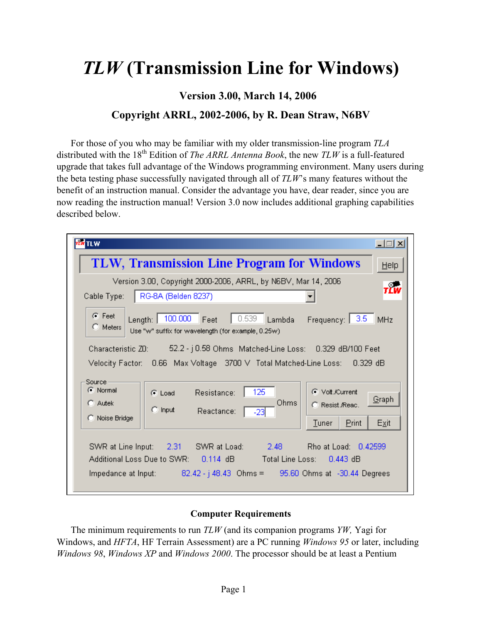# *TLW* **(Transmission Line for Windows)**

**Version 3.00, March 14, 2006** 

# **Copyright ARRL, 2002-2006, by R. Dean Straw, N6BV**

For those of you who may be familiar with my older transmission-line program *TLA* distributed with the 18<sup>th</sup> Edition of *The ARRL Antenna Book*, the new *TLW* is a full-featured upgrade that takes full advantage of the Windows programming environment. Many users during the beta testing phase successfully navigated through all of *TLW*'s many features without the benefit of an instruction manual. Consider the advantage you have, dear reader, since you are now reading the instruction manual! Version 3.0 now includes additional graphing capabilities described below.

| $ \Box$ $\times$<br><b>F</b> TLW                                                                                                                                                                                  |  |  |
|-------------------------------------------------------------------------------------------------------------------------------------------------------------------------------------------------------------------|--|--|
| <b>TLW, Transmission Line Program for Windows</b><br>Help                                                                                                                                                         |  |  |
| Version 3.00, Copyright 2000-2006, ARRL, by N6BV, Mar 14, 2006<br>$\tau_{LW}^2$<br>RG-8A (Belden 8237)<br>Cable Type:                                                                                             |  |  |
| $\bullet$ Feet<br>100.000<br>0.539<br>Lambda Frequency: 3.5<br>Feet<br>Length:  <br>MHz<br>$\Box$ Meters<br>Use "w" suffix for wavelength (for example, 0.25w)                                                    |  |  |
| 52.2 - j 0.58 Ohms Matched-Line Loss: 0.329 dB/100 Feet<br>Characteristic ZD:<br>Velocity Factor: 0.66 Max Voltage - 3700 V - Total Matched-Line Loss: -<br>0.329 dB                                              |  |  |
| Source<br>C Normal<br>125<br>C Volt /Current<br>Resistance:<br>$\bullet$ Load<br>Graph<br>Ohms<br>$C$ Autek<br>C Resist, Reac.<br>$\Box$ Input<br>Reactance:<br>$-23$<br>C Noise Bridge<br>Print<br>Exit<br>Tuner |  |  |
| SWR at Line Input: 2.31 SWR at Load: 2.48<br>Rho at Load: 0.42599<br>Total Line Loss: 0.443 dB<br>Impedance at Input: $82.42 - j$ 48.43 Ohms = $95.60$ Ohms at $-30.44$ Degrees                                   |  |  |

# **Computer Requirements**

The minimum requirements to run *TLW* (and its companion programs *YW,* Yagi for Windows, and *HFTA*, HF Terrain Assessment) are a PC running *Windows 95* or later, including *Windows 98*, *Windows XP* and *Windows 2000*. The processor should be at least a Pentium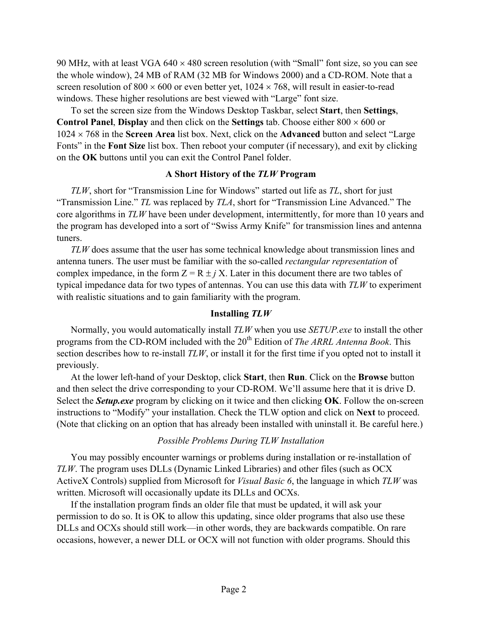90 MHz, with at least VGA  $640 \times 480$  screen resolution (with "Small" font size, so you can see the whole window), 24 MB of RAM (32 MB for Windows 2000) and a CD-ROM. Note that a screen resolution of  $800 \times 600$  or even better yet,  $1024 \times 768$ , will result in easier-to-read windows. These higher resolutions are best viewed with "Large" font size.

To set the screen size from the Windows Desktop Taskbar, select **Start**, then **Settings**, **Control Panel, Display** and then click on the **Settings** tab. Choose either  $800 \times 600$  or 1024 × 768 in the **Screen Area** list box. Next, click on the **Advanced** button and select "Large Fonts" in the **Font Size** list box. Then reboot your computer (if necessary), and exit by clicking on the **OK** buttons until you can exit the Control Panel folder.

#### **A Short History of the** *TLW* **Program**

*TLW*, short for "Transmission Line for Windows" started out life as *TL*, short for just "Transmission Line." *TL* was replaced by *TLA*, short for "Transmission Line Advanced." The core algorithms in *TLW* have been under development, intermittently, for more than 10 years and the program has developed into a sort of "Swiss Army Knife" for transmission lines and antenna tuners.

*TLW* does assume that the user has some technical knowledge about transmission lines and antenna tuners. The user must be familiar with the so-called *rectangular representation* of complex impedance, in the form  $Z = R \pm i X$ . Later in this document there are two tables of typical impedance data for two types of antennas. You can use this data with *TLW* to experiment with realistic situations and to gain familiarity with the program.

#### **Installing** *TLW*

Normally, you would automatically install *TLW* when you use *SETUP.exe* to install the other programs from the CD-ROM included with the 20<sup>th</sup> Edition of *The ARRL Antenna Book*. This section describes how to re-install *TLW*, or install it for the first time if you opted not to install it previously.

At the lower left-hand of your Desktop, click **Start**, then **Run**. Click on the **Browse** button and then select the drive corresponding to your CD-ROM. We'll assume here that it is drive D. Select the *Setup.exe* program by clicking on it twice and then clicking **OK**. Follow the on-screen instructions to "Modify" your installation. Check the TLW option and click on **Next** to proceed. (Note that clicking on an option that has already been installed with uninstall it. Be careful here.)

# *Possible Problems During TLW Installation*

You may possibly encounter warnings or problems during installation or re-installation of *TLW*. The program uses DLLs (Dynamic Linked Libraries) and other files (such as OCX ActiveX Controls) supplied from Microsoft for *Visual Basic 6*, the language in which *TLW* was written. Microsoft will occasionally update its DLLs and OCXs.

If the installation program finds an older file that must be updated, it will ask your permission to do so. It is OK to allow this updating, since older programs that also use these DLLs and OCXs should still work—in other words, they are backwards compatible. On rare occasions, however, a newer DLL or OCX will not function with older programs. Should this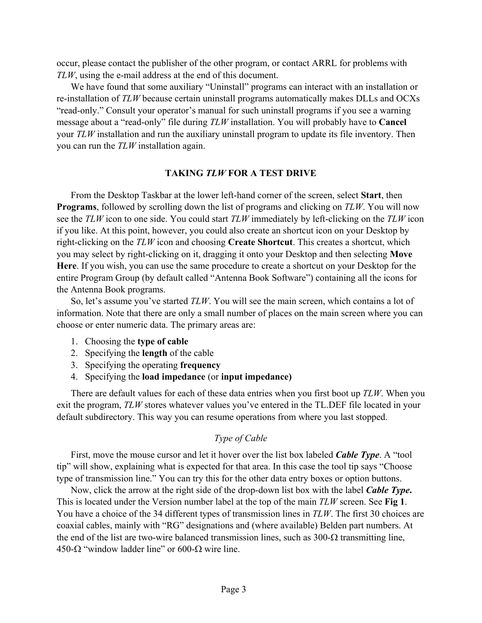occur, please contact the publisher of the other program, or contact ARRL for problems with *TLW*, using the e-mail address at the end of this document.

We have found that some auxiliary "Uninstall" programs can interact with an installation or re-installation of *TLW* because certain uninstall programs automatically makes DLLs and OCXs "read-only." Consult your operator's manual for such uninstall programs if you see a warning message about a "read-only" file during *TLW* installation. You will probably have to **Cancel** your *TLW* installation and run the auxiliary uninstall program to update its file inventory. Then you can run the *TLW* installation again.

#### **TAKING** *TLW* **FOR A TEST DRIVE**

From the Desktop Taskbar at the lower left-hand corner of the screen, select **Start**, then **Programs**, followed by scrolling down the list of programs and clicking on *TLW*. You will now see the *TLW* icon to one side. You could start *TLW* immediately by left-clicking on the *TLW* icon if you like. At this point, however, you could also create an shortcut icon on your Desktop by right-clicking on the *TLW* icon and choosing **Create Shortcut**. This creates a shortcut, which you may select by right-clicking on it, dragging it onto your Desktop and then selecting **Move Here**. If you wish, you can use the same procedure to create a shortcut on your Desktop for the entire Program Group (by default called "Antenna Book Software") containing all the icons for the Antenna Book programs.

So, let's assume you've started *TLW*. You will see the main screen, which contains a lot of information. Note that there are only a small number of places on the main screen where you can choose or enter numeric data. The primary areas are:

- 1. Choosing the **type of cable**
- 2. Specifying the **length** of the cable
- 3. Specifying the operating **frequency**
- 4. Specifying the **load impedance** (or **input impedance)**

There are default values for each of these data entries when you first boot up *TLW*. When you exit the program, *TLW* stores whatever values you've entered in the TL.DEF file located in your default subdirectory. This way you can resume operations from where you last stopped.

#### *Type of Cable*

First, move the mouse cursor and let it hover over the list box labeled *Cable Type*. A "tool tip" will show, explaining what is expected for that area. In this case the tool tip says "Choose type of transmission line." You can try this for the other data entry boxes or option buttons.

Now, click the arrow at the right side of the drop-down list box with the label *Cable Type***.**  This is located under the Version number label at the top of the main *TLW* screen. See **Fig 1**. You have a choice of the 34 different types of transmission lines in *TLW*. The first 30 choices are coaxial cables, mainly with "RG" designations and (where available) Belden part numbers. At the end of the list are two-wire balanced transmission lines, such as  $300$ - $\Omega$  transmitting line, 450- $\Omega$  "window ladder line" or 600- $\Omega$  wire line.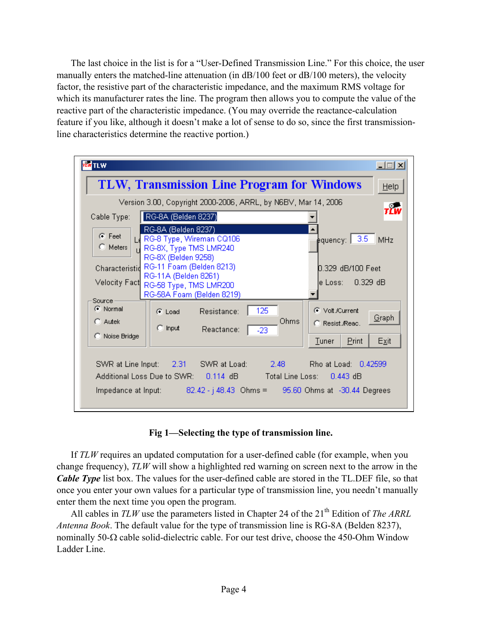The last choice in the list is for a "User-Defined Transmission Line." For this choice, the user manually enters the matched-line attenuation (in dB/100 feet or dB/100 meters), the velocity factor, the resistive part of the characteristic impedance, and the maximum RMS voltage for which its manufacturer rates the line. The program then allows you to compute the value of the reactive part of the characteristic impedance. (You may override the reactance-calculation feature if you like, although it doesn't make a lot of sense to do so, since the first transmissionline characteristics determine the reactive portion.)

| <b>I</b> TLW                                                                                                                                                                                                                                                                                        | <u> - 미지</u>                                                                                        |  |  |
|-----------------------------------------------------------------------------------------------------------------------------------------------------------------------------------------------------------------------------------------------------------------------------------------------------|-----------------------------------------------------------------------------------------------------|--|--|
| <b>TLW, Transmission Line Program for Windows</b><br>Help                                                                                                                                                                                                                                           |                                                                                                     |  |  |
| Version 3.00, Copyright 2000-2006, ARRL, by N6BV, Mar 14, 2006                                                                                                                                                                                                                                      |                                                                                                     |  |  |
| RG-8A (Belden 8237)<br>Cable Type:                                                                                                                                                                                                                                                                  | тÊw                                                                                                 |  |  |
| RG-8A (Belden 8237)<br>$\bullet$ Feet<br>RG-8 Type, Wireman CQ106<br>$\bigcirc$ Meters<br>RG-8X, Type TMS LMR240<br>RG-8X (Belden 9258)<br>Characteristid RG-11 Foam (Belden 8213)<br>RG-11A (Belden 8261)<br><b>Velocity Fact</b><br>RG-58 Type, TMS LMR200<br>RG-58A Foam (Belden 8219)<br>Source | pquency: 3.5<br><b>MHz</b><br>0.329 dB/100 Feet.<br>$0.329$ dB<br>le Loss: III                      |  |  |
| C Normal<br>Resistance:<br>$\bullet$ Load<br>$C$ Autek<br>$\Box$ Input<br>Reactance:<br>C Noise Bridge                                                                                                                                                                                              | 125<br>C Volt /Current<br>Graph<br>Ohms<br>C Resist Read.<br>$-23$<br>Print<br>Exit<br><b>Tuner</b> |  |  |
| SWR at Line Input: 2.31 SWR at Load: 2.48 Rho at Load: 0.42599<br>Additional Loss Due to SWR:  0.114 dB<br>Total Line Loss: 0.443 dB<br>Impedance at Input: 82.42 - j 48.43 Ohms = 95.60 Ohms at -30.44 Degrees                                                                                     |                                                                                                     |  |  |

# **Fig 1—Selecting the type of transmission line.**

If *TLW* requires an updated computation for a user-defined cable (for example, when you change frequency), *TLW* will show a highlighted red warning on screen next to the arrow in the *Cable Type* list box. The values for the user-defined cable are stored in the TL.DEF file, so that once you enter your own values for a particular type of transmission line, you needn't manually enter them the next time you open the program.

All cables in *TLW* use the parameters listed in Chapter 24 of the 21<sup>th</sup> Edition of *The ARRL Antenna Book*. The default value for the type of transmission line is RG-8A (Belden 8237), nominally 50-Ω cable solid-dielectric cable. For our test drive, choose the 450-Ohm Window Ladder Line.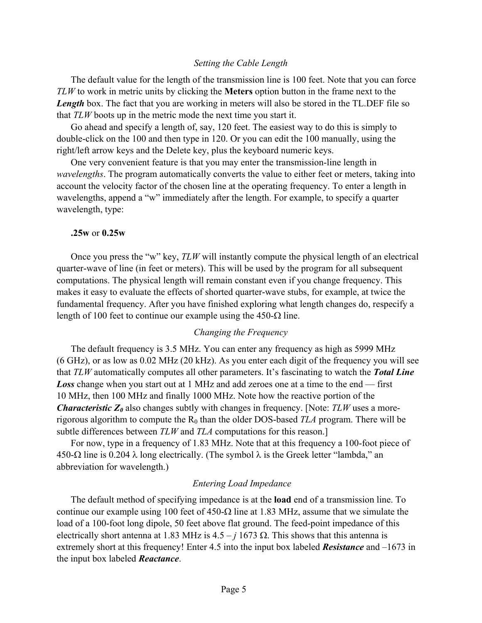#### *Setting the Cable Length*

The default value for the length of the transmission line is 100 feet. Note that you can force *TLW* to work in metric units by clicking the **Meters** option button in the frame next to the *Length* box. The fact that you are working in meters will also be stored in the TL.DEF file so that *TLW* boots up in the metric mode the next time you start it.

Go ahead and specify a length of, say, 120 feet. The easiest way to do this is simply to double-click on the 100 and then type in 120. Or you can edit the 100 manually, using the right/left arrow keys and the Delete key, plus the keyboard numeric keys.

One very convenient feature is that you may enter the transmission-line length in *wavelengths*. The program automatically converts the value to either feet or meters, taking into account the velocity factor of the chosen line at the operating frequency. To enter a length in wavelengths, append a "w" immediately after the length. For example, to specify a quarter wavelength, type:

#### **.25w** or **0.25w**

Once you press the "w" key, *TLW* will instantly compute the physical length of an electrical quarter-wave of line (in feet or meters). This will be used by the program for all subsequent computations. The physical length will remain constant even if you change frequency. This makes it easy to evaluate the effects of shorted quarter-wave stubs, for example, at twice the fundamental frequency. After you have finished exploring what length changes do, respecify a length of 100 feet to continue our example using the 450-Ω line.

#### *Changing the Frequency*

The default frequency is 3.5 MHz. You can enter any frequency as high as 5999 MHz (6 GHz), or as low as 0.02 MHz (20 kHz). As you enter each digit of the frequency you will see that *TLW* automatically computes all other parameters. It's fascinating to watch the *Total Line Loss* change when you start out at 1 MHz and add zeroes one at a time to the end — first 10 MHz, then 100 MHz and finally 1000 MHz. Note how the reactive portion of the *Characteristic*  $Z_0$  also changes subtly with changes in frequency. [Note:  $TLW$  uses a morerigorous algorithm to compute the R<sub>0</sub> than the older DOS-based *TLA* program. There will be subtle differences between *TLW* and *TLA* computations for this reason.]

For now, type in a frequency of 1.83 MHz. Note that at this frequency a 100-foot piece of 450-Ω line is 0.204 λ long electrically. (The symbol λ is the Greek letter "lambda," an abbreviation for wavelength.)

#### *Entering Load Impedance*

The default method of specifying impedance is at the **load** end of a transmission line. To continue our example using 100 feet of 450-Ω line at 1.83 MHz, assume that we simulate the load of a 100-foot long dipole, 50 feet above flat ground. The feed-point impedance of this electrically short antenna at 1.83 MHz is  $4.5 - j 1673 \Omega$ . This shows that this antenna is extremely short at this frequency! Enter 4.5 into the input box labeled *Resistance* and –1673 in the input box labeled *Reactance*.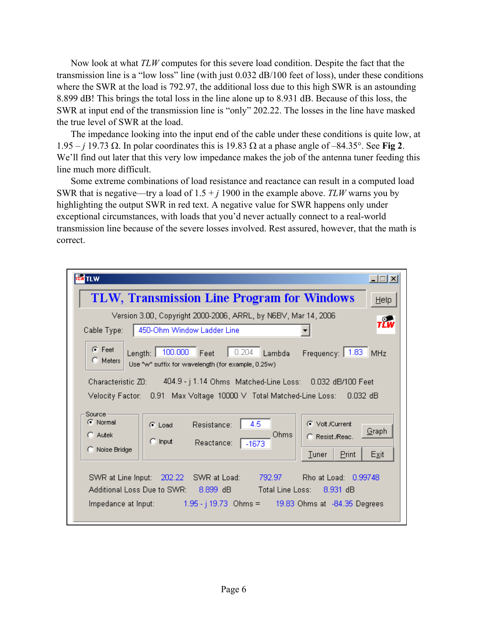Now look at what *TLW* computes for this severe load condition. Despite the fact that the transmission line is a "low loss" line (with just 0.032 dB/100 feet of loss), under these conditions where the SWR at the load is 792.97, the additional loss due to this high SWR is an astounding 8.899 dB! This brings the total loss in the line alone up to 8.931 dB. Because of this loss, the SWR at input end of the transmission line is "only" 202.22. The losses in the line have masked the true level of SWR at the load.

The impedance looking into the input end of the cable under these conditions is quite low, at 1.95 – *j* 19.73 Ω. In polar coordinates this is 19.83 Ω at a phase angle of –84.35°. See **Fig 2**. We'll find out later that this very low impedance makes the job of the antenna tuner feeding this line much more difficult.

Some extreme combinations of load resistance and reactance can result in a computed load SWR that is negative—try a load of  $1.5 + j$  1900 in the example above. *TLW* warns you by highlighting the output SWR in red text. A negative value for SWR happens only under exceptional circumstances, with loads that you'd never actually connect to a real-world transmission line because of the severe losses involved. Rest assured, however, that the math is correct.

| <b>TLW</b>                                                                                                                                                         |                                                                                                                                                                                         | $\Box$ $\Box$ $\times$ |
|--------------------------------------------------------------------------------------------------------------------------------------------------------------------|-----------------------------------------------------------------------------------------------------------------------------------------------------------------------------------------|------------------------|
|                                                                                                                                                                    | <b>TLW, Transmission Line Program for Windows</b>                                                                                                                                       | Help                   |
| Cable Type:                                                                                                                                                        | Version 3.00, Copyright 2000-2006, ARRL, by N6BV, Mar 14, 2006<br>450-Ohm Window Ladder Line                                                                                            | тřш                    |
| $G$ Feet<br>100.000<br>0.204<br>Frequency:   1.83<br>Feet<br>Length:  <br>Lambda<br>MHz<br>$\bigcirc$ Meters<br>Use "w" suffix for wavelength (for example, 0.25w) |                                                                                                                                                                                         |                        |
| Characteristic ZD: 404.9 - j 1.14 Ohms Matched-Line Loss: 0.032 dB/100 Feet<br>$0.032$ dB                                                                          |                                                                                                                                                                                         |                        |
| Source -<br>C Normal<br>$C$ Autek<br>C Noise Bridge                                                                                                                | 4.5<br>C Volt./Current<br>Resistance:<br>$\bullet$ Load<br>Ohms<br>C. Resist <i>Reac</i> .<br>$\Box$ Input<br>Reactance:<br>$-1673$<br><b>Tuner</b><br>Print                            | Graph<br>Exit          |
| SWR at Line Input:<br>Additional Loss Due to SWR:                                                                                                                  | Rho at Load: 0.99748<br>- 202.22<br>SWR at Load:<br>792.97<br>Total Line Loss: 8.931 dB<br>$8.899 \text{ dB}$<br>Impedance at Input: 1.95 - j 19.73 Ohms = 19.83 Ohms at -84.35 Degrees |                        |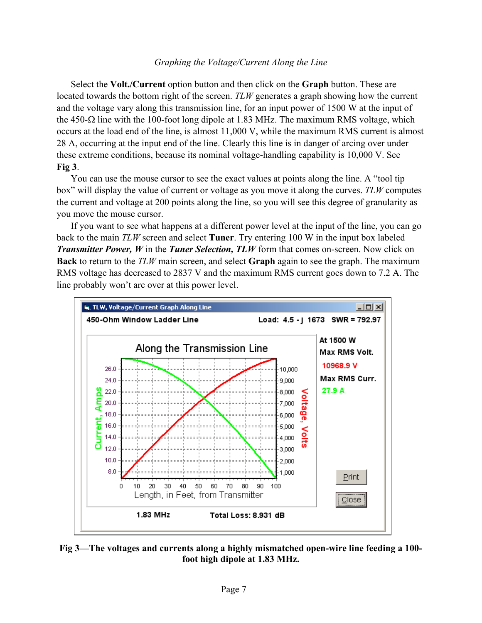#### *Graphing the Voltage/Current Along the Line*

Select the **Volt./Current** option button and then click on the **Graph** button. These are located towards the bottom right of the screen. *TLW* generates a graph showing how the current and the voltage vary along this transmission line, for an input power of 1500 W at the input of the 450- $\Omega$  line with the 100-foot long dipole at 1.83 MHz. The maximum RMS voltage, which occurs at the load end of the line, is almost 11,000 V, while the maximum RMS current is almost 28 A, occurring at the input end of the line. Clearly this line is in danger of arcing over under these extreme conditions, because its nominal voltage-handling capability is 10,000 V. See **Fig 3**.

You can use the mouse cursor to see the exact values at points along the line. A "tool tip box" will display the value of current or voltage as you move it along the curves. *TLW* computes the current and voltage at 200 points along the line, so you will see this degree of granularity as you move the mouse cursor.

If you want to see what happens at a different power level at the input of the line, you can go back to the main *TLW* screen and select **Tuner**. Try entering 100 W in the input box labeled *Transmitter Power, W* in the *Tuner Selection, TLW* form that comes on-screen. Now click on **Back** to return to the *TLW* main screen, and select **Graph** again to see the graph. The maximum RMS voltage has decreased to 2837 V and the maximum RMS current goes down to 7.2 A. The line probably won't arc over at this power level.



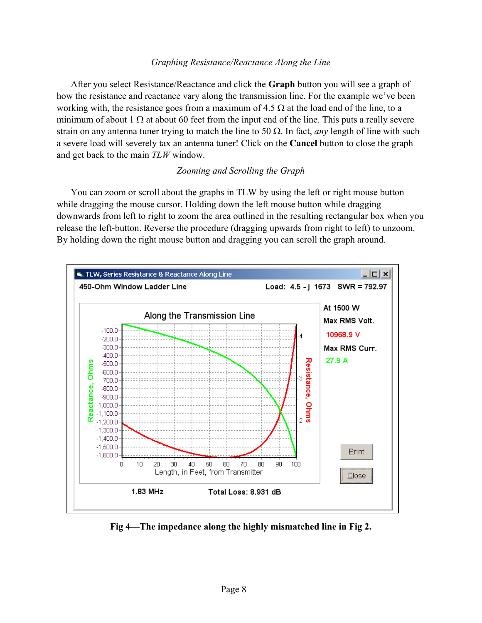### *Graphing Resistance/Reactance Along the Line*

After you select Resistance/Reactance and click the **Graph** button you will see a graph of how the resistance and reactance vary along the transmission line. For the example we've been working with, the resistance goes from a maximum of  $4.5 \Omega$  at the load end of the line, to a minimum of about 1  $\Omega$  at about 60 feet from the input end of the line. This puts a really severe strain on any antenna tuner trying to match the line to 50 Ω. In fact, *any* length of line with such a severe load will severely tax an antenna tuner! Click on the **Cancel** button to close the graph and get back to the main *TLW* window.

# *Zooming and Scrolling the Graph*

You can zoom or scroll about the graphs in TLW by using the left or right mouse button while dragging the mouse cursor. Holding down the left mouse button while dragging downwards from left to right to zoom the area outlined in the resulting rectangular box when you release the left-button. Reverse the procedure (dragging upwards from right to left) to unzoom. By holding down the right mouse button and dragging you can scroll the graph around.



**Fig 4—The impedance along the highly mismatched line in Fig 2.**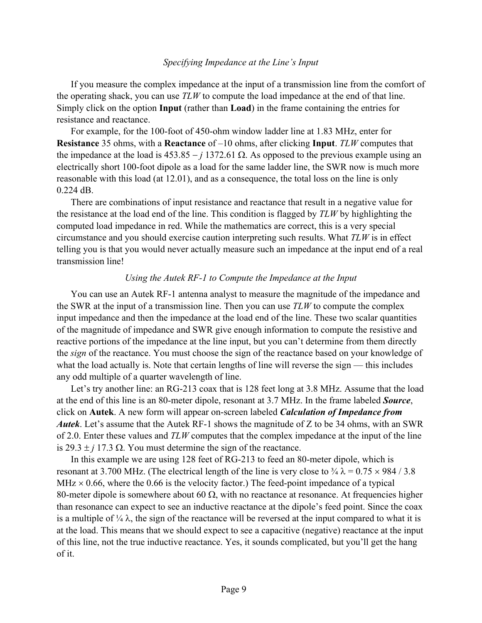#### *Specifying Impedance at the Line's Input*

If you measure the complex impedance at the input of a transmission line from the comfort of the operating shack, you can use *TLW* to compute the load impedance at the end of that line. Simply click on the option **Input** (rather than **Load**) in the frame containing the entries for resistance and reactance.

For example, for the 100-foot of 450-ohm window ladder line at 1.83 MHz, enter for **Resistance** 35 ohms, with a **Reactance** of –10 ohms, after clicking **Input**. *TLW* computes that the impedance at the load is  $453.85 - j 1372.61 \Omega$ . As opposed to the previous example using an electrically short 100-foot dipole as a load for the same ladder line, the SWR now is much more reasonable with this load (at 12.01), and as a consequence, the total loss on the line is only 0.224 dB.

There are combinations of input resistance and reactance that result in a negative value for the resistance at the load end of the line. This condition is flagged by *TLW* by highlighting the computed load impedance in red. While the mathematics are correct, this is a very special circumstance and you should exercise caution interpreting such results. What *TLW* is in effect telling you is that you would never actually measure such an impedance at the input end of a real transmission line!

#### *Using the Autek RF-1 to Compute the Impedance at the Input*

You can use an Autek RF-1 antenna analyst to measure the magnitude of the impedance and the SWR at the input of a transmission line. Then you can use *TLW* to compute the complex input impedance and then the impedance at the load end of the line. These two scalar quantities of the magnitude of impedance and SWR give enough information to compute the resistive and reactive portions of the impedance at the line input, but you can't determine from them directly the *sign* of the reactance. You must choose the sign of the reactance based on your knowledge of what the load actually is. Note that certain lengths of line will reverse the sign — this includes any odd multiple of a quarter wavelength of line.

Let's try another line: an RG-213 coax that is 128 feet long at 3.8 MHz. Assume that the load at the end of this line is an 80-meter dipole, resonant at 3.7 MHz. In the frame labeled *Source*, click on **Autek**. A new form will appear on-screen labeled *Calculation of Impedance from Autek*. Let's assume that the Autek RF-1 shows the magnitude of Z to be 34 ohms, with an SWR of 2.0. Enter these values and *TLW* computes that the complex impedance at the input of the line is  $29.3 \pm j$  17.3  $\Omega$ . You must determine the sign of the reactance.

In this example we are using 128 feet of RG-213 to feed an 80-meter dipole, which is resonant at 3.700 MHz. (The electrical length of the line is very close to  $\frac{3}{4} \lambda = 0.75 \times 984 / 3.8$  $MHz \times 0.66$ , where the 0.66 is the velocity factor.) The feed-point impedance of a typical 80-meter dipole is somewhere about 60  $\Omega$ , with no reactance at resonance. At frequencies higher than resonance can expect to see an inductive reactance at the dipole's feed point. Since the coax is a multiple of  $\frac{1}{4} \lambda$ , the sign of the reactance will be reversed at the input compared to what it is at the load. This means that we should expect to see a capacitive (negative) reactance at the input of this line, not the true inductive reactance. Yes, it sounds complicated, but you'll get the hang of it.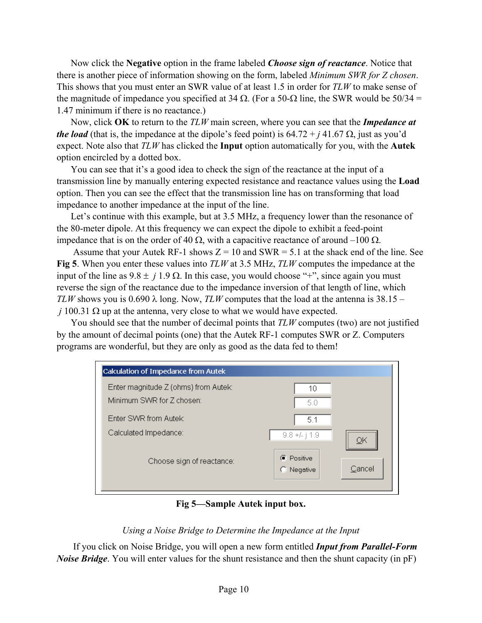Now click the **Negative** option in the frame labeled *Choose sign of reactance*. Notice that there is another piece of information showing on the form, labeled *Minimum SWR for Z chosen*. This shows that you must enter an SWR value of at least 1.5 in order for *TLW* to make sense of the magnitude of impedance you specified at 34  $\Omega$ . (For a 50- $\Omega$  line, the SWR would be 50/34 = 1.47 minimum if there is no reactance.)

Now, click **OK** to return to the *TLW* main screen, where you can see that the *Impedance at the load* (that is, the impedance at the dipole's feed point) is  $64.72 + j 41.67 \Omega$ , just as you'd expect. Note also that *TLW* has clicked the **Input** option automatically for you, with the **Autek** option encircled by a dotted box.

You can see that it's a good idea to check the sign of the reactance at the input of a transmission line by manually entering expected resistance and reactance values using the **Load** option. Then you can see the effect that the transmission line has on transforming that load impedance to another impedance at the input of the line.

Let's continue with this example, but at 3.5 MHz, a frequency lower than the resonance of the 80-meter dipole. At this frequency we can expect the dipole to exhibit a feed-point impedance that is on the order of 40 Ω, with a capacitive reactance of around –100 Ω.

Assume that your Autek RF-1 shows  $Z = 10$  and SWR = 5.1 at the shack end of the line. See **Fig 5**. When you enter these values into *TLW* at 3.5 MHz, *TLW* computes the impedance at the input of the line as  $9.8 \pm j 1.9 \Omega$ . In this case, you would choose "+", since again you must reverse the sign of the reactance due to the impedance inversion of that length of line, which *TLW* shows you is 0.690  $\lambda$  long. Now, *TLW* computes that the load at the antenna is 38.15 – *j* 100.31  $\Omega$  up at the antenna, very close to what we would have expected.

You should see that the number of decimal points that *TLW* computes (two) are not justified by the amount of decimal points (one) that the Autek RF-1 computes SWR or Z. Computers programs are wonderful, but they are only as good as the data fed to them!

| Calculation of Impedance from Autek                               |                                         |  |
|-------------------------------------------------------------------|-----------------------------------------|--|
| Enter magnitude Z (ohms) from Autek:<br>Minimum SWR for Z chosen: | 10<br>50                                |  |
| Fnter SWR from Autek:                                             | 5.1                                     |  |
| Calculated Impedance:                                             | <br>$9.8 + L$   1.9<br>                 |  |
| Choose sign of reactance:                                         | <b>C</b> Positive<br>Cancel<br>Negative |  |
|                                                                   |                                         |  |

**Fig 5—Sample Autek input box.** 

# *Using a Noise Bridge to Determine the Impedance at the Input*

 If you click on Noise Bridge, you will open a new form entitled *Input from Parallel-Form Noise Bridge*. You will enter values for the shunt resistance and then the shunt capacity (in pF)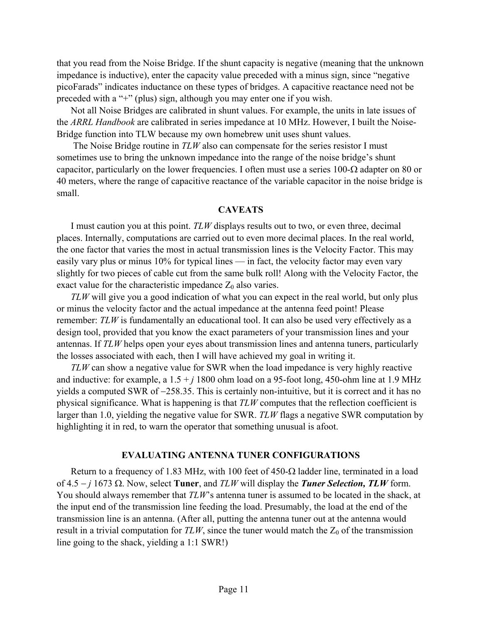that you read from the Noise Bridge. If the shunt capacity is negative (meaning that the unknown impedance is inductive), enter the capacity value preceded with a minus sign, since "negative picoFarads" indicates inductance on these types of bridges. A capacitive reactance need not be preceded with a "+" (plus) sign, although you may enter one if you wish.

Not all Noise Bridges are calibrated in shunt values. For example, the units in late issues of the *ARRL Handbook* are calibrated in series impedance at 10 MHz. However, I built the Noise-Bridge function into TLW because my own homebrew unit uses shunt values.

 The Noise Bridge routine in *TLW* also can compensate for the series resistor I must sometimes use to bring the unknown impedance into the range of the noise bridge's shunt capacitor, particularly on the lower frequencies. I often must use a series 100- $\Omega$  adapter on 80 or 40 meters, where the range of capacitive reactance of the variable capacitor in the noise bridge is small.

#### **CAVEATS**

I must caution you at this point. *TLW* displays results out to two, or even three, decimal places. Internally, computations are carried out to even more decimal places. In the real world, the one factor that varies the most in actual transmission lines is the Velocity Factor. This may easily vary plus or minus 10% for typical lines — in fact, the velocity factor may even vary slightly for two pieces of cable cut from the same bulk roll! Along with the Velocity Factor, the exact value for the characteristic impedance  $Z_0$  also varies.

*TLW* will give you a good indication of what you can expect in the real world, but only plus or minus the velocity factor and the actual impedance at the antenna feed point! Please remember: *TLW* is fundamentally an educational tool. It can also be used very effectively as a design tool, provided that you know the exact parameters of your transmission lines and your antennas. If *TLW* helps open your eyes about transmission lines and antenna tuners, particularly the losses associated with each, then I will have achieved my goal in writing it.

*TLW* can show a negative value for SWR when the load impedance is very highly reactive and inductive: for example, a  $1.5 + j$  1800 ohm load on a 95-foot long, 450-ohm line at 1.9 MHz yields a computed SWR of −258.35. This is certainly non-intuitive, but it is correct and it has no physical significance. What is happening is that *TLW* computes that the reflection coefficient is larger than 1.0, yielding the negative value for SWR. *TLW* flags a negative SWR computation by highlighting it in red, to warn the operator that something unusual is afoot.

#### **EVALUATING ANTENNA TUNER CONFIGURATIONS**

Return to a frequency of 1.83 MHz, with 100 feet of 450- $\Omega$  ladder line, terminated in a load of 4.5 − *j* 1673 Ω. Now, select **Tuner**, and *TLW* will display the *Tuner Selection, TLW* form. You should always remember that *TLW*'s antenna tuner is assumed to be located in the shack, at the input end of the transmission line feeding the load. Presumably, the load at the end of the transmission line is an antenna. (After all, putting the antenna tuner out at the antenna would result in a trivial computation for  $TLW$ , since the tuner would match the  $Z_0$  of the transmission line going to the shack, yielding a 1:1 SWR!)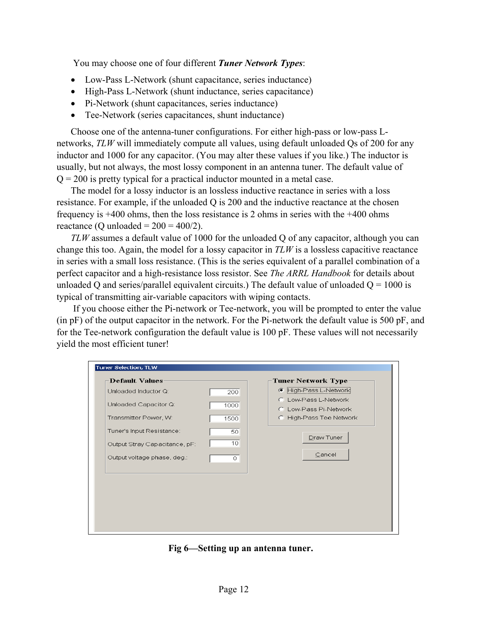You may choose one of four different *Tuner Network Types*:

- Low-Pass L-Network (shunt capacitance, series inductance)
- High-Pass L-Network (shunt inductance, series capacitance)
- Pi-Network (shunt capacitances, series inductance)
- Tee-Network (series capacitances, shunt inductance)

Choose one of the antenna-tuner configurations. For either high-pass or low-pass Lnetworks, *TLW* will immediately compute all values, using default unloaded Qs of 200 for any inductor and 1000 for any capacitor. (You may alter these values if you like.) The inductor is usually, but not always, the most lossy component in an antenna tuner. The default value of  $Q = 200$  is pretty typical for a practical inductor mounted in a metal case.

The model for a lossy inductor is an lossless inductive reactance in series with a loss resistance. For example, if the unloaded Q is 200 and the inductive reactance at the chosen frequency is +400 ohms, then the loss resistance is 2 ohms in series with the +400 ohms reactance (Q unloaded =  $200 = 400/2$ ).

*TLW* assumes a default value of 1000 for the unloaded Q of any capacitor, although you can change this too. Again, the model for a lossy capacitor in *TLW* is a lossless capacitive reactance in series with a small loss resistance. (This is the series equivalent of a parallel combination of a perfect capacitor and a high-resistance loss resistor. See *The ARRL Handbook* for details about unloaded Q and series/parallel equivalent circuits.) The default value of unloaded  $Q = 1000$  is typical of transmitting air-variable capacitors with wiping contacts.

 If you choose either the Pi-network or Tee-network, you will be prompted to enter the value (in pF) of the output capacitor in the network. For the Pi-network the default value is 500 pF, and for the Tee-network configuration the default value is 100 pF. These values will not necessarily yield the most efficient tuner!

| Tuner Selection, TLW          |          |                                               |
|-------------------------------|----------|-----------------------------------------------|
| <b>Default Values</b>         |          | <b>Tuner Network Type</b>                     |
| Unloaded Inductor Q:          | 200      | If High-Pass L-Network                        |
| Unloaded Capacitor Q:         | 1000     | C Low-Pass L-Network<br>C Low-Pass Pi-Network |
| Transmitter Power, W:         | 1500     | C High-Pass Tee Network                       |
| Tuner's Input Resistance:     | 50       | Draw Tuner                                    |
| Output Stray Capacitance, pF: | 10       |                                               |
| Output voltage phase, deg.:   | $\Omega$ | Cancel                                        |
|                               |          |                                               |
|                               |          |                                               |
|                               |          |                                               |
|                               |          |                                               |
|                               |          |                                               |
|                               |          |                                               |

**Fig 6—Setting up an antenna tuner.**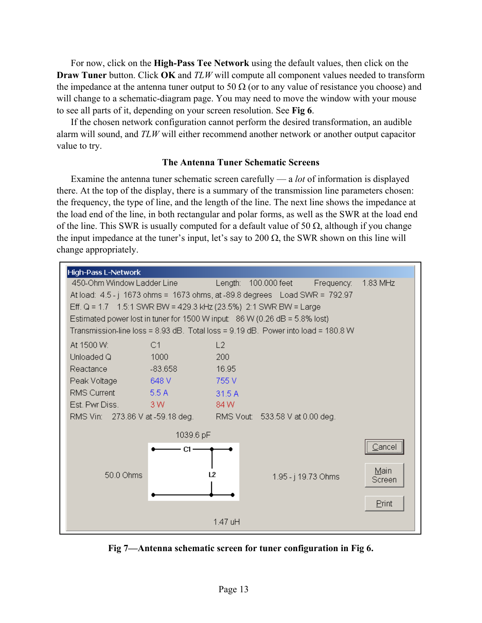For now, click on the **High-Pass Tee Network** using the default values, then click on the **Draw Tuner** button. Click **OK** and *TLW* will compute all component values needed to transform the impedance at the antenna tuner output to 50  $\Omega$  (or to any value of resistance you choose) and will change to a schematic-diagram page. You may need to move the window with your mouse to see all parts of it, depending on your screen resolution. See **Fig 6**.

If the chosen network configuration cannot perform the desired transformation, an audible alarm will sound, and *TLW* will either recommend another network or another output capacitor value to try.

# **The Antenna Tuner Schematic Screens**

Examine the antenna tuner schematic screen carefully — a *lot* of information is displayed there. At the top of the display, there is a summary of the transmission line parameters chosen: the frequency, the type of line, and the length of the line. The next line shows the impedance at the load end of the line, in both rectangular and polar forms, as well as the SWR at the load end of the line. This SWR is usually computed for a default value of 50  $\Omega$ , although if you change the input impedance at the tuner's input, let's say to 200  $\Omega$ , the SWR shown on this line will change appropriately.



**Fig 7—Antenna schematic screen for tuner configuration in Fig 6.**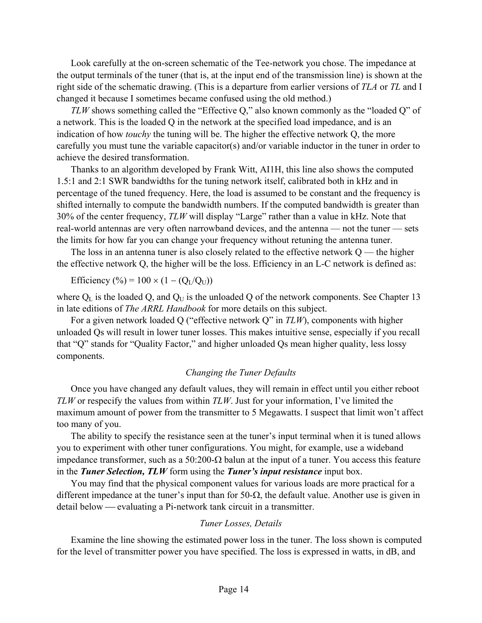Look carefully at the on-screen schematic of the Tee-network you chose. The impedance at the output terminals of the tuner (that is, at the input end of the transmission line) is shown at the right side of the schematic drawing. (This is a departure from earlier versions of *TLA* or *TL* and I changed it because I sometimes became confused using the old method.)

*TLW* shows something called the "Effective Q," also known commonly as the "loaded Q" of a network. This is the loaded Q in the network at the specified load impedance, and is an indication of how *touchy* the tuning will be. The higher the effective network Q, the more carefully you must tune the variable capacitor(s) and/or variable inductor in the tuner in order to achieve the desired transformation.

Thanks to an algorithm developed by Frank Witt, AI1H, this line also shows the computed 1.5:1 and 2:1 SWR bandwidths for the tuning network itself, calibrated both in kHz and in percentage of the tuned frequency. Here, the load is assumed to be constant and the frequency is shifted internally to compute the bandwidth numbers. If the computed bandwidth is greater than 30% of the center frequency, *TLW* will display "Large" rather than a value in kHz. Note that real-world antennas are very often narrowband devices, and the antenna — not the tuner — sets the limits for how far you can change your frequency without retuning the antenna tuner.

The loss in an antenna tuner is also closely related to the effective network  $Q$  — the higher the effective network Q, the higher will be the loss. Efficiency in an L-C network is defined as:

Efficiency (%) =  $100 \times (1 - (Q_{\text{I}}/Q_{\text{II}}))$ 

where  $Q_L$  is the loaded  $Q$ , and  $Q_U$  is the unloaded  $Q$  of the network components. See Chapter 13 in late editions of *The ARRL Handbook* for more details on this subject.

For a given network loaded Q ("effective network Q" in *TLW*), components with higher unloaded Qs will result in lower tuner losses. This makes intuitive sense, especially if you recall that "Q" stands for "Quality Factor," and higher unloaded Qs mean higher quality, less lossy components.

#### *Changing the Tuner Defaults*

Once you have changed any default values, they will remain in effect until you either reboot *TLW* or respecify the values from within *TLW*. Just for your information, I've limited the maximum amount of power from the transmitter to 5 Megawatts. I suspect that limit won't affect too many of you.

The ability to specify the resistance seen at the tuner's input terminal when it is tuned allows you to experiment with other tuner configurations. You might, for example, use a wideband impedance transformer, such as a 50:200-Ω balun at the input of a tuner. You access this feature in the *Tuner Selection, TLW* form using the *Tuner's input resistance* input box.

You may find that the physical component values for various loads are more practical for a different impedance at the tuner's input than for 50-Ω, the default value. Another use is given in detail below — evaluating a Pi-network tank circuit in a transmitter.

#### *Tuner Losses, Details*

Examine the line showing the estimated power loss in the tuner. The loss shown is computed for the level of transmitter power you have specified. The loss is expressed in watts, in dB, and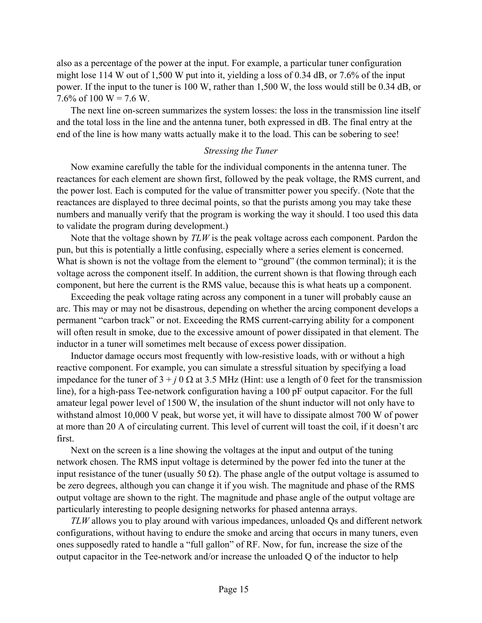also as a percentage of the power at the input. For example, a particular tuner configuration might lose 114 W out of 1,500 W put into it, yielding a loss of 0.34 dB, or 7.6% of the input power. If the input to the tuner is 100 W, rather than 1,500 W, the loss would still be 0.34 dB, or 7.6% of 100 W = 7.6 W.

The next line on-screen summarizes the system losses: the loss in the transmission line itself and the total loss in the line and the antenna tuner, both expressed in dB. The final entry at the end of the line is how many watts actually make it to the load. This can be sobering to see!

#### *Stressing the Tuner*

Now examine carefully the table for the individual components in the antenna tuner. The reactances for each element are shown first, followed by the peak voltage, the RMS current, and the power lost. Each is computed for the value of transmitter power you specify. (Note that the reactances are displayed to three decimal points, so that the purists among you may take these numbers and manually verify that the program is working the way it should. I too used this data to validate the program during development.)

Note that the voltage shown by *TLW* is the peak voltage across each component. Pardon the pun, but this is potentially a little confusing, especially where a series element is concerned. What is shown is not the voltage from the element to "ground" (the common terminal); it is the voltage across the component itself. In addition, the current shown is that flowing through each component, but here the current is the RMS value, because this is what heats up a component.

Exceeding the peak voltage rating across any component in a tuner will probably cause an arc. This may or may not be disastrous, depending on whether the arcing component develops a permanent "carbon track" or not. Exceeding the RMS current-carrying ability for a component will often result in smoke, due to the excessive amount of power dissipated in that element. The inductor in a tuner will sometimes melt because of excess power dissipation.

Inductor damage occurs most frequently with low-resistive loads, with or without a high reactive component. For example, you can simulate a stressful situation by specifying a load impedance for the tuner of  $3 + j$  0  $\Omega$  at 3.5 MHz (Hint: use a length of 0 feet for the transmission line), for a high-pass Tee-network configuration having a 100 pF output capacitor. For the full amateur legal power level of 1500 W, the insulation of the shunt inductor will not only have to withstand almost 10,000 V peak, but worse yet, it will have to dissipate almost 700 W of power at more than 20 A of circulating current. This level of current will toast the coil, if it doesn't arc first.

Next on the screen is a line showing the voltages at the input and output of the tuning network chosen. The RMS input voltage is determined by the power fed into the tuner at the input resistance of the tuner (usually 50  $\Omega$ ). The phase angle of the output voltage is assumed to be zero degrees, although you can change it if you wish. The magnitude and phase of the RMS output voltage are shown to the right. The magnitude and phase angle of the output voltage are particularly interesting to people designing networks for phased antenna arrays.

*TLW* allows you to play around with various impedances, unloaded Qs and different network configurations, without having to endure the smoke and arcing that occurs in many tuners, even ones supposedly rated to handle a "full gallon" of RF. Now, for fun, increase the size of the output capacitor in the Tee-network and/or increase the unloaded Q of the inductor to help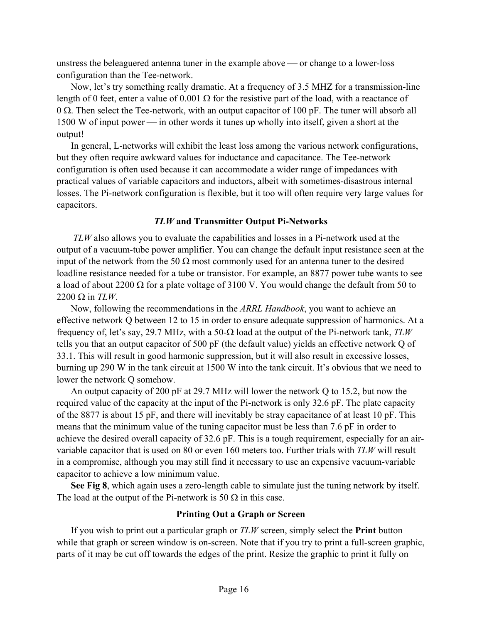unstress the beleaguered antenna tuner in the example above  $\sim$  or change to a lower-loss configuration than the Tee-network.

Now, let's try something really dramatic. At a frequency of 3.5 MHZ for a transmission-line length of 0 feet, enter a value of 0.001  $\Omega$  for the resistive part of the load, with a reactance of 0 Ω. Then select the Tee-network, with an output capacitor of 100 pF. The tuner will absorb all  $1500$  W of input power  $\frac{1500}{100}$  in other words it tunes up wholly into itself, given a short at the output!

In general, L-networks will exhibit the least loss among the various network configurations, but they often require awkward values for inductance and capacitance. The Tee-network configuration is often used because it can accommodate a wider range of impedances with practical values of variable capacitors and inductors, albeit with sometimes-disastrous internal losses. The Pi-network configuration is flexible, but it too will often require very large values for capacitors.

## *TLW* **and Transmitter Output Pi-Networks**

*TLW* also allows you to evaluate the capabilities and losses in a Pi-network used at the output of a vacuum-tube power amplifier. You can change the default input resistance seen at the input of the network from the 50  $\Omega$  most commonly used for an antenna tuner to the desired loadline resistance needed for a tube or transistor. For example, an 8877 power tube wants to see a load of about 2200  $\Omega$  for a plate voltage of 3100 V. You would change the default from 50 to 2200 Ω in *TLW*.

Now, following the recommendations in the *ARRL Handbook*, you want to achieve an effective network Q between 12 to 15 in order to ensure adequate suppression of harmonics. At a frequency of, let's say, 29.7 MHz, with a 50-Ω load at the output of the Pi-network tank, *TLW* tells you that an output capacitor of 500 pF (the default value) yields an effective network Q of 33.1. This will result in good harmonic suppression, but it will also result in excessive losses, burning up 290 W in the tank circuit at 1500 W into the tank circuit. It's obvious that we need to lower the network Q somehow.

An output capacity of 200 pF at 29.7 MHz will lower the network Q to 15.2, but now the required value of the capacity at the input of the Pi-network is only 32.6 pF. The plate capacity of the 8877 is about 15 pF, and there will inevitably be stray capacitance of at least 10 pF. This means that the minimum value of the tuning capacitor must be less than 7.6 pF in order to achieve the desired overall capacity of 32.6 pF. This is a tough requirement, especially for an airvariable capacitor that is used on 80 or even 160 meters too. Further trials with *TLW* will result in a compromise, although you may still find it necessary to use an expensive vacuum-variable capacitor to achieve a low minimum value.

**See Fig 8**, which again uses a zero-length cable to simulate just the tuning network by itself. The load at the output of the Pi-network is 50  $\Omega$  in this case.

# **Printing Out a Graph or Screen**

If you wish to print out a particular graph or *TLW* screen, simply select the **Print** button while that graph or screen window is on-screen. Note that if you try to print a full-screen graphic, parts of it may be cut off towards the edges of the print. Resize the graphic to print it fully on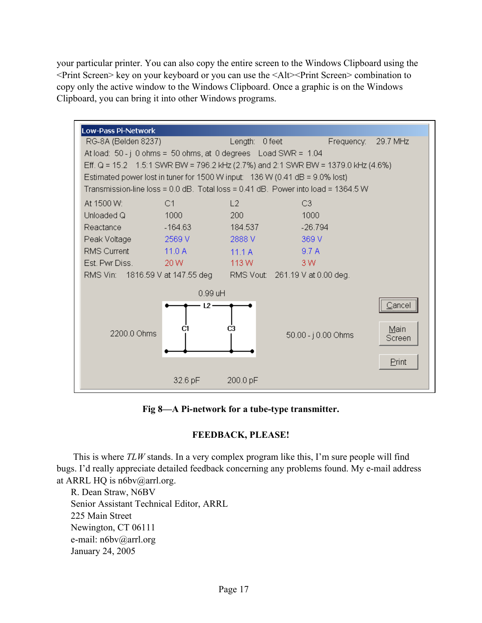your particular printer. You can also copy the entire screen to the Windows Clipboard using the <Print Screen> key on your keyboard or you can use the <Alt><Print Screen> combination to copy only the active window to the Windows Clipboard. Once a graphic is on the Windows Clipboard, you can bring it into other Windows programs.



**Fig 8—A Pi-network for a tube-type transmitter.** 

# **FEEDBACK, PLEASE!**

This is where *TLW* stands. In a very complex program like this, I'm sure people will find bugs. I'd really appreciate detailed feedback concerning any problems found. My e-mail address at ARRL HQ is n6bv@arrl.org.

R. Dean Straw, N6BV Senior Assistant Technical Editor, ARRL 225 Main Street Newington, CT 06111 e-mail: n6bv@arrl.org January 24, 2005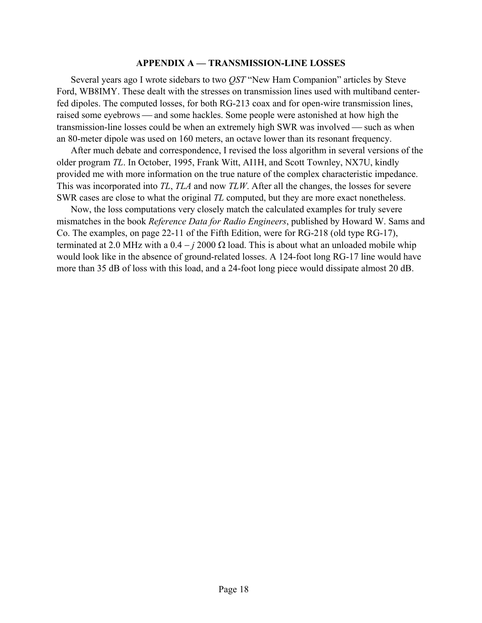#### **APPENDIX A — TRANSMISSION-LINE LOSSES**

Several years ago I wrote sidebars to two *QST* "New Ham Companion" articles by Steve Ford, WB8IMY. These dealt with the stresses on transmission lines used with multiband centerfed dipoles. The computed losses, for both RG-213 coax and for open-wire transmission lines, raised some eyebrows — and some hackles. Some people were astonished at how high the transmission-line losses could be when an extremely high SWR was involved — such as when an 80-meter dipole was used on 160 meters, an octave lower than its resonant frequency.

After much debate and correspondence, I revised the loss algorithm in several versions of the older program *TL*. In October, 1995, Frank Witt, AI1H, and Scott Townley, NX7U, kindly provided me with more information on the true nature of the complex characteristic impedance. This was incorporated into *TL*, *TLA* and now *TLW*. After all the changes, the losses for severe SWR cases are close to what the original *TL* computed, but they are more exact nonetheless.

Now, the loss computations very closely match the calculated examples for truly severe mismatches in the book *Reference Data for Radio Engineers*, published by Howard W. Sams and Co. The examples, on page 22-11 of the Fifth Edition, were for RG-218 (old type RG-17), terminated at 2.0 MHz with a  $0.4 - j2000 \Omega$  load. This is about what an unloaded mobile whip would look like in the absence of ground-related losses. A 124-foot long RG-17 line would have more than 35 dB of loss with this load, and a 24-foot long piece would dissipate almost 20 dB.